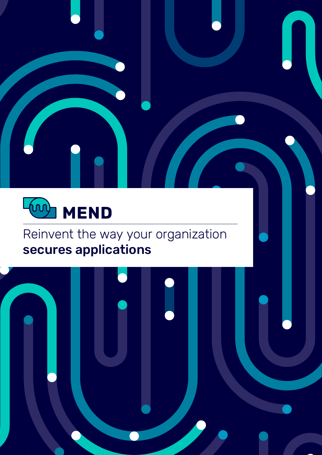

# Reinvent the way your organization secures applications

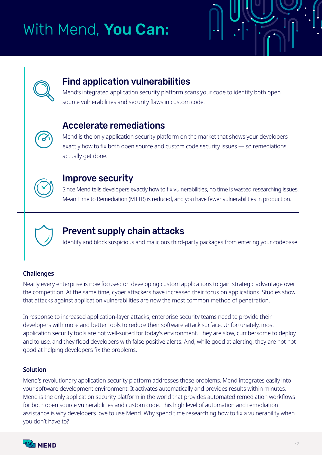# With Mend, You Can:



### **Find application vulnerabilities**

Mend's integrated application security platform scans your code to identify both open source vulnerabilities and security flaws in custom code.

### Accelerate remediations

Mend is the only application security platform on the market that shows your developers exactly how to fix both open source and custom code security issues - so remediations actually get done.



### Improve security

Since Mend tells developers exactly how to fix vulnerabilities, no time is wasted researching issues. Mean Time to Remediation (MTTR) is reduced, and you have fewer vulnerabilities in production.



### Prevent supply chain attacks

Identify and block suspicious and malicious third-party packages from entering your codebase.

#### **Challenges**

Nearly every enterprise is now focused on developing custom applications to gain strategic advantage over the competition. At the same time, cyber attackers have increased their focus on applications. Studies show that attacks against application vulnerabilities are now the most common method of penetration.

In response to increased application-layer attacks, enterprise security teams need to provide their developers with more and better tools to reduce their software attack surface. Unfortunately, most application security tools are not well-suited for today's environment. They are slow, cumbersome to deploy and to use, and they flood developers with false positive alerts. And, while good at alerting, they are not not .problems qood at helping developers fix the problems.

#### **Solution**

Mend's revolutionary application security platform addresses these problems. Mend integrates easily into your software development environment. It activates automatically and provides results within minutes. Mend is the only application security platform in the world that provides automated remediation workflows for both open source vulnerabilities and custom code. This high level of automation and remediation assistance is why developers love to use Mend. Why spend time researching how to fix a vulnerability when you don't have to?

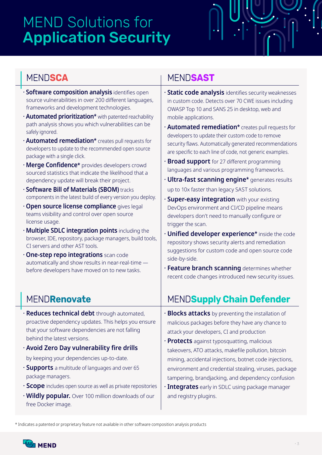# **MEND Solutions for Application Security**

### MEND**SCA**

- **· Software composition analysis** identifies open source vulnerabilities in over 200 different languages, frameworks and development technologies.
- *•* **Automated prioritization\*** with patented reachability path analysis shows you which vulnerabilities can be safely ignored.
- *Automated remediation\** creates pull requests for developers to update to the recommended open source package with a single click.
- *Confidence\** **provides developers crowd** sourced statistics that indicate the likelihood that a dependency update will break their project.
- *<b>C Software Bill of Materials (SBOM) tracks* components in the latest build of every version you deploy.
- *Copen source license compliance gives legal* teams visibility and control over open source license usage.
- **follogier integration points** including the browser, IDE, repository, package managers, build tools, CI servers and other AST tools.
- *c***One-step repo integrations scan code** automatically and show results in near-real-time  $$ before developers have moved on to new tasks.

### MEND**Renovate**

- $\cdot$  **Reduces technical debt** through automated, proactive dependency updates. This helps you ensure that your software dependencies are not falling behind the latest versions.
- $\cdot$  Avoid Zero Day vulnerability fire drills by keeping your dependencies up-to-date.
- **· Supports** a multitude of languages and over 65 package managers.
- **· Scope** includes open source as well as private repositories
- **· Wildly popular.** Over 100 million downloads of our free Docker image.

### MEND**SAST**

- $\cdot$  **Static code analysis** identifies security weaknesses in custom code. Detects over 70 CWE issues including OWASP Top 10 and SANS 25 in desktop, web and mobile applications.
- *Automated remediation\** creates pull requests for developers to update their custom code to remove security flaws. Automatically generated recommendations are specific to each line of code, not generic examples.
- **· Broad support** for 27 different programming languages and various programming frameworks.
- *•* **Ultra-fast scanning engine\*** generates results up to 10x faster than legacy SAST solutions.
- **· Super-easy integration** with your existing DevOps environment and CI/CD pipeline means developers don't need to manually configure or trigger the scan.
- $\cdot$  **Unified developer experience\*** inside the code repository shows security alerts and remediation suggestions for custom code and open source code side-by-side.
- **Feature branch scanning determines whether** recent code changes introduced new security issues.

### **MENDSupply Chain Defender**

- $\cdot$  **Blocks attacks** by preventing the installation of malicious packages before they have any chance to attack your developers, CI and production
- **Protects** against typosquatting, malicious takeovers, ATO attacks, makefile pollution, bitcoin mining, accidental injections, botnet code injections, environment and credential stealing, viruses, package tampering, brandjacking, and dependency confusion
- **Integrates** early in SDLC using package manager and registry plugins.

\* Indicates a patented or proprietary feature not available in other software composition analysis products